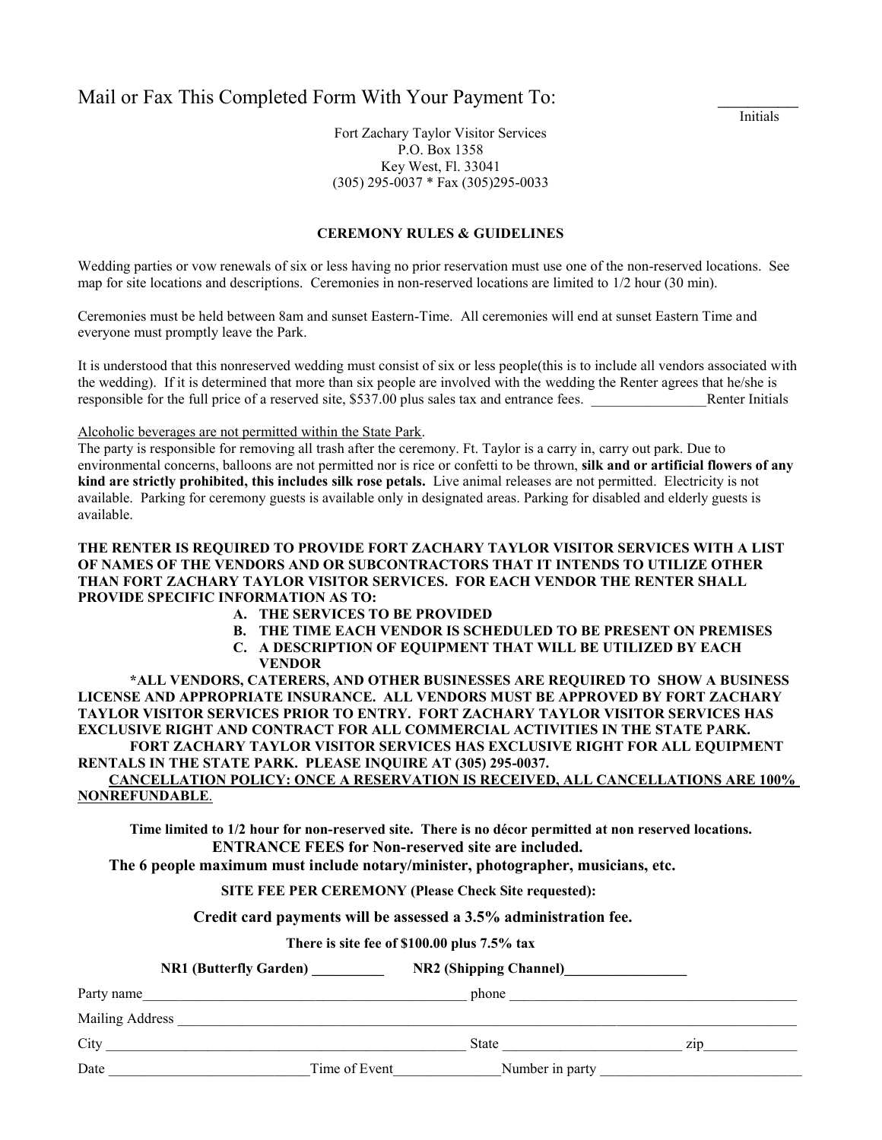## Mail or Fax This Completed Form With Your Payment To:

**Initials** 

Fort Zachary Taylor Visitor Services P.O. Box 1358 Key West, Fl. 33041 (305) 295-0037 \* Fax (305)295-0033

## **CEREMONY RULES & GUIDELINES**

Wedding parties or vow renewals of six or less having no prior reservation must use one of the non-reserved locations. See map for site locations and descriptions. Ceremonies in non-reserved locations are limited to 1/2 hour (30 min).

Ceremonies must be held between 8am and sunset Eastern-Time. All ceremonies will end at sunset Eastern Time and everyone must promptly leave the Park.

It is understood that this nonreserved wedding must consist of six or less people(this is to include all vendors associated with the wedding). If it is determined that more than six people are involved with the wedding the Renter agrees that he/she is responsible for the full price of a reserved site, \$537.00 plus sales tax and entrance fees. Renter Initials

Alcoholic beverages are not permitted within the State Park.

The party is responsible for removing all trash after the ceremony. Ft. Taylor is a carry in, carry out park. Due to environmental concerns, balloons are not permitted nor is rice or confetti to be thrown, **silk and or artificial flowers of any kind are strictly prohibited, this includes silk rose petals.** Live animal releases are not permitted. Electricity is not available. Parking for ceremony guests is available only in designated areas. Parking for disabled and elderly guests is available.

**THE RENTER IS REQUIRED TO PROVIDE FORT ZACHARY TAYLOR VISITOR SERVICES WITH A LIST OF NAMES OF THE VENDORS AND OR SUBCONTRACTORS THAT IT INTENDS TO UTILIZE OTHER THAN FORT ZACHARY TAYLOR VISITOR SERVICES. FOR EACH VENDOR THE RENTER SHALL PROVIDE SPECIFIC INFORMATION AS TO:**

- **A. THE SERVICES TO BE PROVIDED**
- **B. THE TIME EACH VENDOR IS SCHEDULED TO BE PRESENT ON PREMISES**
- **C. A DESCRIPTION OF EQUIPMENT THAT WILL BE UTILIZED BY EACH VENDOR**

**\*ALL VENDORS, CATERERS, AND OTHER BUSINESSES ARE REQUIRED TO SHOW A BUSINESS LICENSE AND APPROPRIATE INSURANCE. ALL VENDORS MUST BE APPROVED BY FORT ZACHARY TAYLOR VISITOR SERVICES PRIOR TO ENTRY. FORT ZACHARY TAYLOR VISITOR SERVICES HAS EXCLUSIVE RIGHT AND CONTRACT FOR ALL COMMERCIAL ACTIVITIES IN THE STATE PARK. FORT ZACHARY TAYLOR VISITOR SERVICES HAS EXCLUSIVE RIGHT FOR ALL EQUIPMENT RENTALS IN THE STATE PARK. PLEASE INQUIRE AT (305) 295-0037.**

**CANCELLATION POLICY: ONCE A RESERVATION IS RECEIVED, ALL CANCELLATIONS ARE 100% NONREFUNDABLE**.

**Time limited to 1/2 hour for non-reserved site. There is no décor permitted at non reserved locations. ENTRANCE FEES for Non-reserved site are included.** 

**The 6 people maximum must include notary/minister, photographer, musicians, etc.**

 **SITE FEE PER CEREMONY (Please Check Site requested):**

 **Credit card payments will be assessed a 3.5% administration fee.**

 **There is site fee of \$100.00 plus 7.5% tax** 

|                 | <b>NR1 (Butterfly Garden)</b> | NR2 (Shipping Channel) |                  |
|-----------------|-------------------------------|------------------------|------------------|
| Party name      |                               | phone                  |                  |
| Mailing Address |                               |                        |                  |
| City            |                               | State                  | Z <sub>1</sub> D |
| Date            | Time of Event                 | Number in party        |                  |